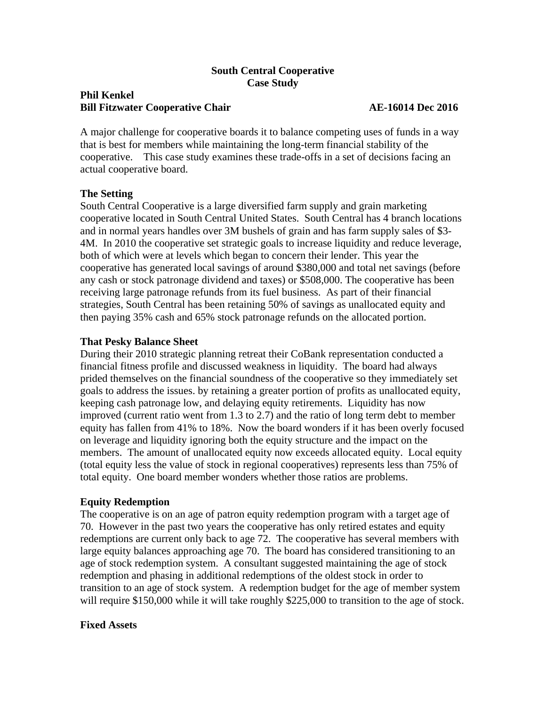## **South Central Cooperative Case Study**

# **Phil Kenkel Bill Fitzwater Cooperative Chair AE-16014 Dec 2016**

A major challenge for cooperative boards it to balance competing uses of funds in a way that is best for members while maintaining the long-term financial stability of the cooperative. This case study examines these trade-offs in a set of decisions facing an actual cooperative board.

## **The Setting**

South Central Cooperative is a large diversified farm supply and grain marketing cooperative located in South Central United States. South Central has 4 branch locations and in normal years handles over 3M bushels of grain and has farm supply sales of \$3- 4M. In 2010 the cooperative set strategic goals to increase liquidity and reduce leverage, both of which were at levels which began to concern their lender. This year the cooperative has generated local savings of around \$380,000 and total net savings (before any cash or stock patronage dividend and taxes) or \$508,000. The cooperative has been receiving large patronage refunds from its fuel business. As part of their financial strategies, South Central has been retaining 50% of savings as unallocated equity and then paying 35% cash and 65% stock patronage refunds on the allocated portion.

## **That Pesky Balance Sheet**

During their 2010 strategic planning retreat their CoBank representation conducted a financial fitness profile and discussed weakness in liquidity. The board had always prided themselves on the financial soundness of the cooperative so they immediately set goals to address the issues. by retaining a greater portion of profits as unallocated equity, keeping cash patronage low, and delaying equity retirements. Liquidity has now improved (current ratio went from 1.3 to 2.7) and the ratio of long term debt to member equity has fallen from 41% to 18%. Now the board wonders if it has been overly focused on leverage and liquidity ignoring both the equity structure and the impact on the members. The amount of unallocated equity now exceeds allocated equity. Local equity (total equity less the value of stock in regional cooperatives) represents less than 75% of total equity. One board member wonders whether those ratios are problems.

## **Equity Redemption**

The cooperative is on an age of patron equity redemption program with a target age of 70. However in the past two years the cooperative has only retired estates and equity redemptions are current only back to age 72. The cooperative has several members with large equity balances approaching age 70. The board has considered transitioning to an age of stock redemption system. A consultant suggested maintaining the age of stock redemption and phasing in additional redemptions of the oldest stock in order to transition to an age of stock system. A redemption budget for the age of member system will require \$150,000 while it will take roughly \$225,000 to transition to the age of stock.

#### **Fixed Assets**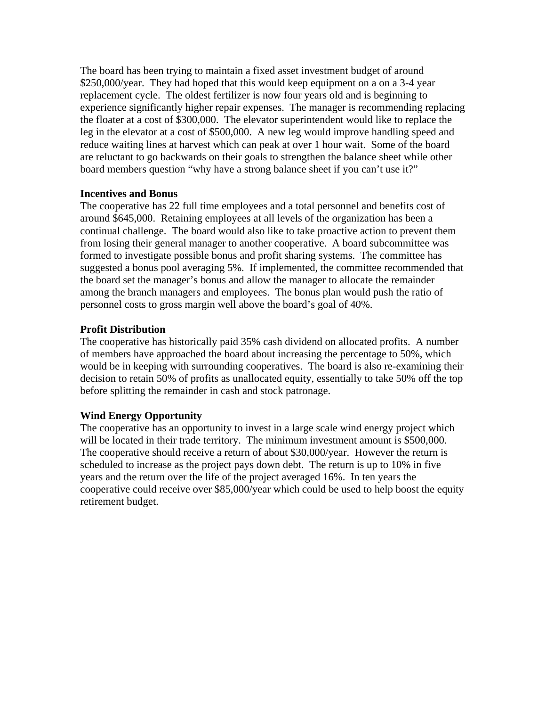The board has been trying to maintain a fixed asset investment budget of around \$250,000/year. They had hoped that this would keep equipment on a on a 3-4 year replacement cycle. The oldest fertilizer is now four years old and is beginning to experience significantly higher repair expenses. The manager is recommending replacing the floater at a cost of \$300,000. The elevator superintendent would like to replace the leg in the elevator at a cost of \$500,000. A new leg would improve handling speed and reduce waiting lines at harvest which can peak at over 1 hour wait. Some of the board are reluctant to go backwards on their goals to strengthen the balance sheet while other board members question "why have a strong balance sheet if you can't use it?"

#### **Incentives and Bonus**

The cooperative has 22 full time employees and a total personnel and benefits cost of around \$645,000. Retaining employees at all levels of the organization has been a continual challenge. The board would also like to take proactive action to prevent them from losing their general manager to another cooperative. A board subcommittee was formed to investigate possible bonus and profit sharing systems. The committee has suggested a bonus pool averaging 5%. If implemented, the committee recommended that the board set the manager's bonus and allow the manager to allocate the remainder among the branch managers and employees. The bonus plan would push the ratio of personnel costs to gross margin well above the board's goal of 40%.

## **Profit Distribution**

The cooperative has historically paid 35% cash dividend on allocated profits. A number of members have approached the board about increasing the percentage to 50%, which would be in keeping with surrounding cooperatives. The board is also re-examining their decision to retain 50% of profits as unallocated equity, essentially to take 50% off the top before splitting the remainder in cash and stock patronage.

## **Wind Energy Opportunity**

The cooperative has an opportunity to invest in a large scale wind energy project which will be located in their trade territory. The minimum investment amount is \$500,000. The cooperative should receive a return of about \$30,000/year. However the return is scheduled to increase as the project pays down debt. The return is up to 10% in five years and the return over the life of the project averaged 16%. In ten years the cooperative could receive over \$85,000/year which could be used to help boost the equity retirement budget.